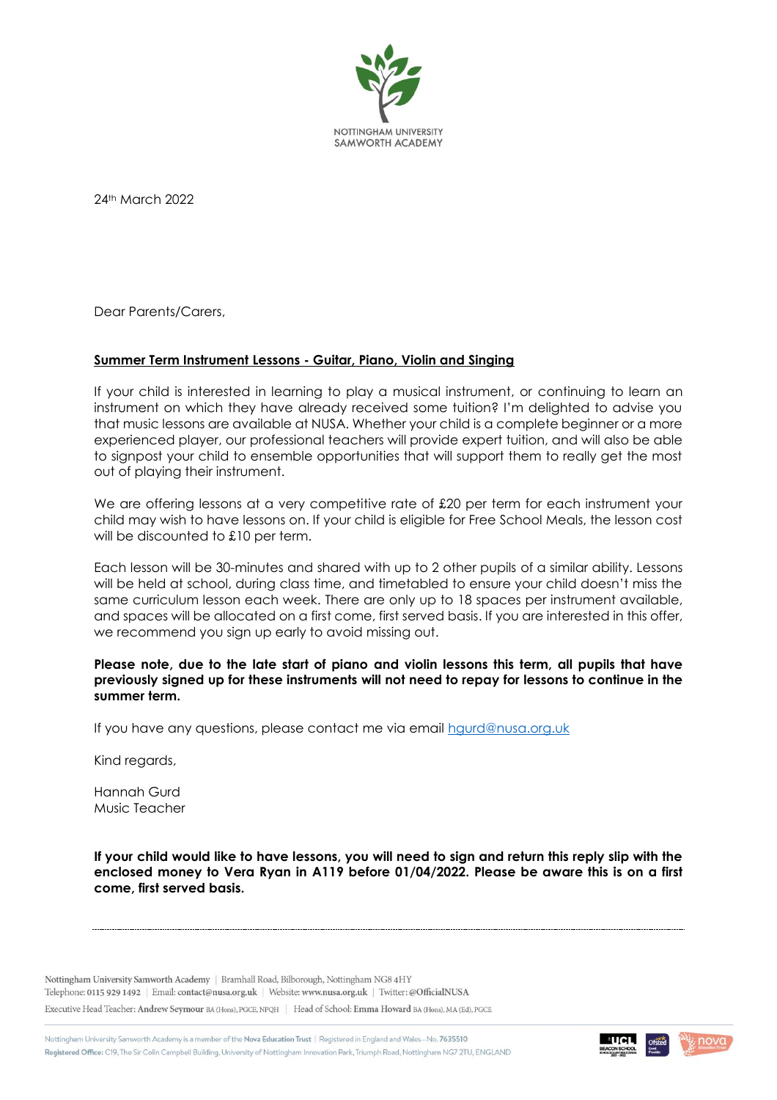

24th March 2022

Dear Parents/Carers,

## **Summer Term Instrument Lessons - Guitar, Piano, Violin and Singing**

If your child is interested in learning to play a musical instrument, or continuing to learn an instrument on which they have already received some tuition? I'm delighted to advise you that music lessons are available at NUSA. Whether your child is a complete beginner or a more experienced player, our professional teachers will provide expert tuition, and will also be able to signpost your child to ensemble opportunities that will support them to really get the most out of playing their instrument.

We are offering lessons at a very competitive rate of £20 per term for each instrument your child may wish to have lessons on. If your child is eligible for Free School Meals, the lesson cost will be discounted to £10 per term.

Each lesson will be 30-minutes and shared with up to 2 other pupils of a similar ability. Lessons will be held at school, during class time, and timetabled to ensure your child doesn't miss the same curriculum lesson each week. There are only up to 18 spaces per instrument available, and spaces will be allocated on a first come, first served basis. If you are interested in this offer, we recommend you sign up early to avoid missing out.

## **Please note, due to the late start of piano and violin lessons this term, all pupils that have previously signed up for these instruments will not need to repay for lessons to continue in the summer term.**

If you have any questions, please contact me via email [hgurd@nusa.org.uk](mailto:hgurd@nusa.org.uk)

Kind regards,

Hannah Gurd Music Teacher

**If your child would like to have lessons, you will need to sign and return this reply slip with the enclosed money to Vera Ryan in A119 before 01/04/2022. Please be aware this is on a first come, first served basis.**

Nottingham University Samworth Academy | Bramhall Road, Bilborough, Nottingham NG8 4HY Telephone: 0115 929 1492 | Email: contact@nusa.org.uk | Website: www.nusa.org.uk | Twitter: @OfficialNUSA

Executive Head Teacher: Andrew Seymour BA (Hons), PGCE, NPQH | Head of School: Emma Howard BA (Hons), MA (Ed), PGCE